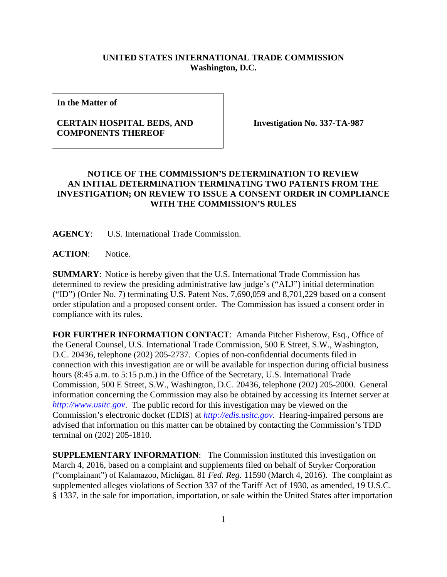## **UNITED STATES INTERNATIONAL TRADE COMMISSION Washington, D.C.**

**In the Matter of**

## **CERTAIN HOSPITAL BEDS, AND COMPONENTS THEREOF**

**Investigation No. 337-TA-987**

## **NOTICE OF THE COMMISSION'S DETERMINATION TO REVIEW AN INITIAL DETERMINATION TERMINATING TWO PATENTS FROM THE INVESTIGATION; ON REVIEW TO ISSUE A CONSENT ORDER IN COMPLIANCE WITH THE COMMISSION'S RULES**

**AGENCY**: U.S. International Trade Commission.

**ACTION**: Notice.

**SUMMARY**: Notice is hereby given that the U.S. International Trade Commission has determined to review the presiding administrative law judge's ("ALJ") initial determination ("ID") (Order No. 7) terminating U.S. Patent Nos. 7,690,059 and 8,701,229 based on a consent order stipulation and a proposed consent order. The Commission has issued a consent order in compliance with its rules.

**FOR FURTHER INFORMATION CONTACT**: Amanda Pitcher Fisherow, Esq., Office of the General Counsel, U.S. International Trade Commission, 500 E Street, S.W., Washington, D.C. 20436, telephone (202) 205-2737. Copies of non-confidential documents filed in connection with this investigation are or will be available for inspection during official business hours (8:45 a.m. to 5:15 p.m.) in the Office of the Secretary, U.S. International Trade Commission, 500 E Street, S.W., Washington, D.C. 20436, telephone (202) 205-2000. General information concerning the Commission may also be obtained by accessing its Internet server at *[http://www.usitc.gov](http://www.usitc.gov/)*. The public record for this investigation may be viewed on the Commission's electronic docket (EDIS) at *[http://edis.usitc.gov](http://edis.usitc.gov/)*. Hearing-impaired persons are advised that information on this matter can be obtained by contacting the Commission's TDD terminal on (202) 205-1810.

**SUPPLEMENTARY INFORMATION**: The Commission instituted this investigation on March 4, 2016, based on a complaint and supplements filed on behalf of Stryker Corporation ("complainant") of Kalamazoo, Michigan. 81 *Fed. Reg.* 11590 (March 4, 2016). The complaint as supplemented alleges violations of Section 337 of the Tariff Act of 1930, as amended, 19 U.S.C. § 1337, in the sale for importation, importation, or sale within the United States after importation